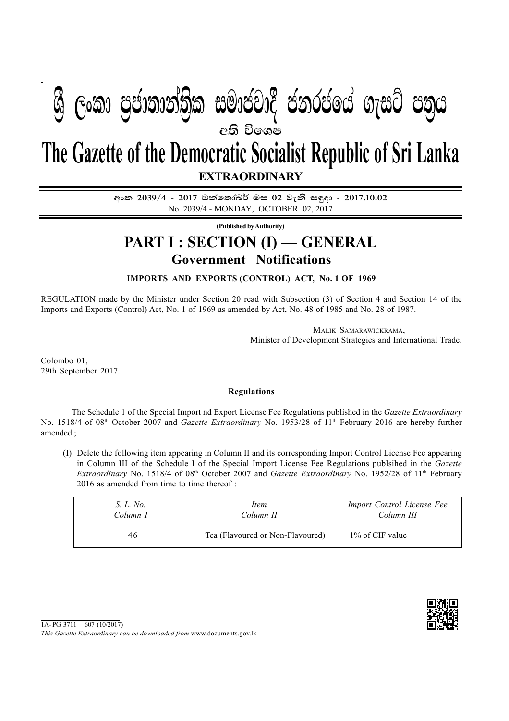## **අති වි**ගෙෂ **EXTRAORDINARY The Gazette of the Democratic Socialist Republic of Sri Lanka**  $\mathfrak{F}$  ලංකා පුජාතාන්තික සමාජවාදී ජනරජයේ ගැසට් පතුය

අංක 2039/4 - 2017 ඔක්තෝබර් මස 02 වැනි සඳුදා - 2017.10.02 No. 2039/4 - MONDAY, OCTOBER 02, 2017

**(Published by Authority)**

## **Government Notifications PART I : SECTION (I) — GENERAL**

**IMPORTS AND EXPORTS (CONTROL) ACT, No. 1 OF 1969**

REGULATION made by the Minister under Section 20 read with Subsection (3) of Section 4 and Section 14 of the Imports and Exports (Control) Act, No. 1 of 1969 as amended by Act, No. 48 of 1985 and No. 28 of 1987.

> MALIK SAMARAWICKRAMA, Minister of Development Strategies and International Trade.

Colombo 01, 29th September 2017.

## **Regulations**

The Schedule 1 of the Special Import nd Export License Fee Regulations published in the *Gazette Extraordinary* No. 1518/4 of 08th October 2007 and *Gazette Extraordinary* No. 1953/28 of 11th February 2016 are hereby further amended ;

(I) Delete the following item appearing in Column II and its corresponding Import Control License Fee appearing in Column III of the Schedule I of the Special Import License Fee Regulations publsihed in the *Gazette Extraordinary* No. 1518/4 of 08<sup>th</sup> October 2007 and *Gazette Extraordinary* No. 1952/28 of 11<sup>th</sup> February 2016 as amended from time to time thereof :

| S. L. No. | Item                             | Import Control License Fee |
|-----------|----------------------------------|----------------------------|
| Column I  | Column II                        | Column III                 |
| 46        | Tea (Flavoured or Non-Flavoured) | 1\% of CIF value           |



*This Gazette Extraordinary can be downloaded from* www.documents.gov.lk  $1A-PG$  3711—607 (10/2017)